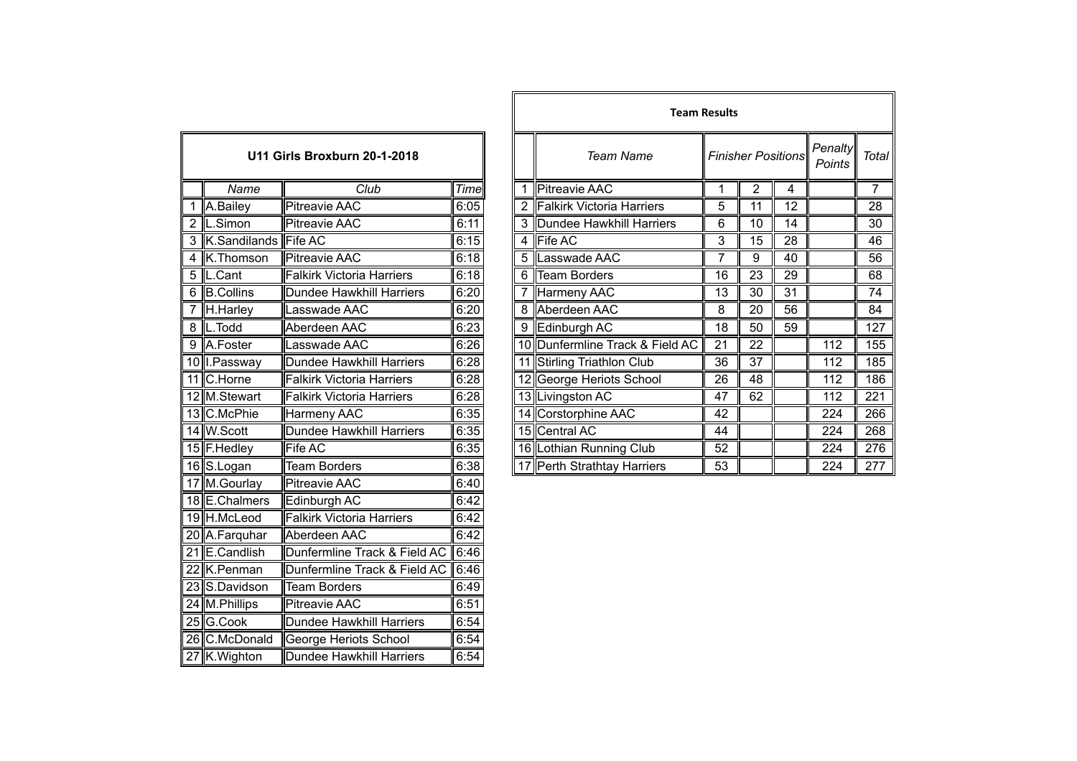| U11 Girls Broxburn 20-1-2018 |                                        |                                  |      |  |  |
|------------------------------|----------------------------------------|----------------------------------|------|--|--|
|                              | Name                                   | Club                             | Time |  |  |
| 1                            | A.Bailey                               | <b>Pitreavie AAC</b>             | 6:05 |  |  |
| $\overline{2}$               | $\overline{\mathsf{L}.\mathsf{Simon}}$ | <b>Pitreavie AAC</b>             | 6:11 |  |  |
| $\overline{3}$               | K.Sandilands                           | <b>Fife AC</b>                   | 6:15 |  |  |
| 4                            | K.Thomson                              | <b>Pitreavie AAC</b>             | 6:18 |  |  |
| 5                            | L.Cant                                 | <b>Falkirk Victoria Harriers</b> | 6:18 |  |  |
| 6                            | <b>B.Collins</b>                       | <b>Dundee Hawkhill Harriers</b>  | 6:20 |  |  |
| 7                            | H.Harley                               | Lasswade AAC                     | 6:20 |  |  |
| 8                            | L.Todd                                 | Aberdeen AAC                     | 6:23 |  |  |
| 9                            | A.Foster                               | Lasswade AAC                     | 6:26 |  |  |
|                              | 10 I.Passway                           | Dundee Hawkhill Harriers         | 6:28 |  |  |
| $\overline{11}$              | C.Horne                                | <b>Falkirk Victoria Harriers</b> | 6:28 |  |  |
|                              | 12 M.Stewart                           | <b>Falkirk Victoria Harriers</b> | 6:28 |  |  |
|                              | 13 C.McPhie                            | Harmeny AAC                      | 6:35 |  |  |
|                              | 14 W.Scott                             | <b>Dundee Hawkhill Harriers</b>  | 6:35 |  |  |
|                              | 15 F.Hedley                            | Fife AC                          | 6:35 |  |  |
|                              | 16 S.Logan                             | <b>Team Borders</b>              | 6:38 |  |  |
| 17                           | M.Gourlay                              | <b>Pitreavie AAC</b>             | 6:40 |  |  |
|                              | 18 E.Chalmers                          | Edinburgh AC                     | 6:42 |  |  |
|                              | 19 H.McLeod                            | <b>Falkirk Victoria Harriers</b> | 6:42 |  |  |
|                              | 20 A.Farquhar                          | Aberdeen AAC                     | 6:42 |  |  |
| $\overline{21}$              | E.Candlish                             | Dunfermline Track & Field AC     | 6:46 |  |  |
| 22                           | K.Penman                               | Dunfermline Track & Field AC     | 6:46 |  |  |
|                              | 23 S.Davidson                          | <b>Team Borders</b>              | 6:49 |  |  |
|                              | 24 M.Phillips                          | Pitreavie AAC                    | 6:51 |  |  |
|                              | 25 G.Cook                              | <b>Dundee Hawkhill Harriers</b>  | 6:54 |  |  |
|                              | 26 C.McDonald                          | <b>George Heriots School</b>     | 6:54 |  |  |
|                              | 27 K. Wighton                          | Dundee Hawkhill Harriers         | 6:54 |  |  |

|                              |                        |                                  |      |   | <b>Team Results</b>             |                           |    |    |                   |                |
|------------------------------|------------------------|----------------------------------|------|---|---------------------------------|---------------------------|----|----|-------------------|----------------|
| U11 Girls Broxburn 20-1-2018 |                        |                                  |      |   | <b>Team Name</b>                | <b>Finisher Positions</b> |    |    | Penalty<br>Points | Total          |
|                              | Name                   | Club                             | Time |   | <b>Pitreavie AAC</b>            |                           | 2  | 4  |                   | $\overline{7}$ |
|                              | A.Bailey               | <b>Pitreavie AAC</b>             | 6:05 |   | 2 Falkirk Victoria Harriers     | 5                         | 11 | 12 |                   | 28             |
|                              | L.Simon                | <b>Pitreavie AAC</b>             | 6:11 |   | 3 Dundee Hawkhill Harriers      | 6                         | 10 | 14 |                   | 30             |
|                              | 3 K.Sandilands Fife AC |                                  | 6:15 |   | 4 $\blacktriangleright$ Fife AC | 3                         | 15 | 28 |                   | 46             |
|                              | 4 K.Thomson            | <b>Pitreavie AAC</b>             | 6:18 |   | 5 Lasswade AAC                  | 7                         | 9  | 40 |                   | 56             |
|                              | 5  L.Cant              | Falkirk Victoria Harriers        | 6:18 | 6 | Team Borders                    | 16                        | 23 | 29 |                   | 68             |
| $6\,$                        | <b>B.Collins</b>       | Dundee Hawkhill Harriers         | 6:20 |   | Harmeny AAC                     | 13                        | 30 | 31 |                   | 74             |
| $\overline{7}$               | H.Harley               | Lasswade AAC                     | 6:20 |   | 8 Aberdeen AAC                  | 8                         | 20 | 56 |                   | 84             |
|                              | 8 L.Todd               | Aberdeen AAC                     | 6:23 | 9 | Edinburgh AC                    | 18                        | 50 | 59 |                   | 127            |
|                              | 9 A.Foster             | Lasswade AAC                     | 6:26 |   | 10 Dunfermline Track & Field AC | 21                        | 22 |    | 112               | 155            |
|                              | 10 I.Passway           | Dundee Hawkhill Harriers         | 6:28 |   | 11 Stirling Triathlon Club      | 36                        | 37 |    | 112               | 185            |
|                              | 11 C.Horne             | <b>Falkirk Victoria Harriers</b> | 6:28 |   | 12 George Heriots School        | 26                        | 48 |    | 112               | 186            |
|                              | 12 M.Stewart           | <b>Falkirk Victoria Harriers</b> | 6:28 |   | 13 Livingston AC                | 47                        | 62 |    | 112               | 221            |
|                              | 13 C.McPhie            | Harmeny AAC                      | 6:35 |   | 14 Corstorphine AAC             | 42                        |    |    | 224               | 266            |
|                              | 14 W.Scott             | Dundee Hawkhill Harriers         | 6:35 |   | 15 Central AC                   | 44                        |    |    | 224               | 268            |
|                              | 15 F.Hedley            | Fife AC                          | 6:35 |   | 16 Lothian Running Club         | 52                        |    |    | 224               | 276            |
|                              | 16 S.Logan             | <b>Team Borders</b>              | 6:38 |   | 17 Perth Strathtay Harriers     | 53                        |    |    | 224               | 277            |
|                              |                        |                                  |      |   |                                 |                           |    |    |                   |                |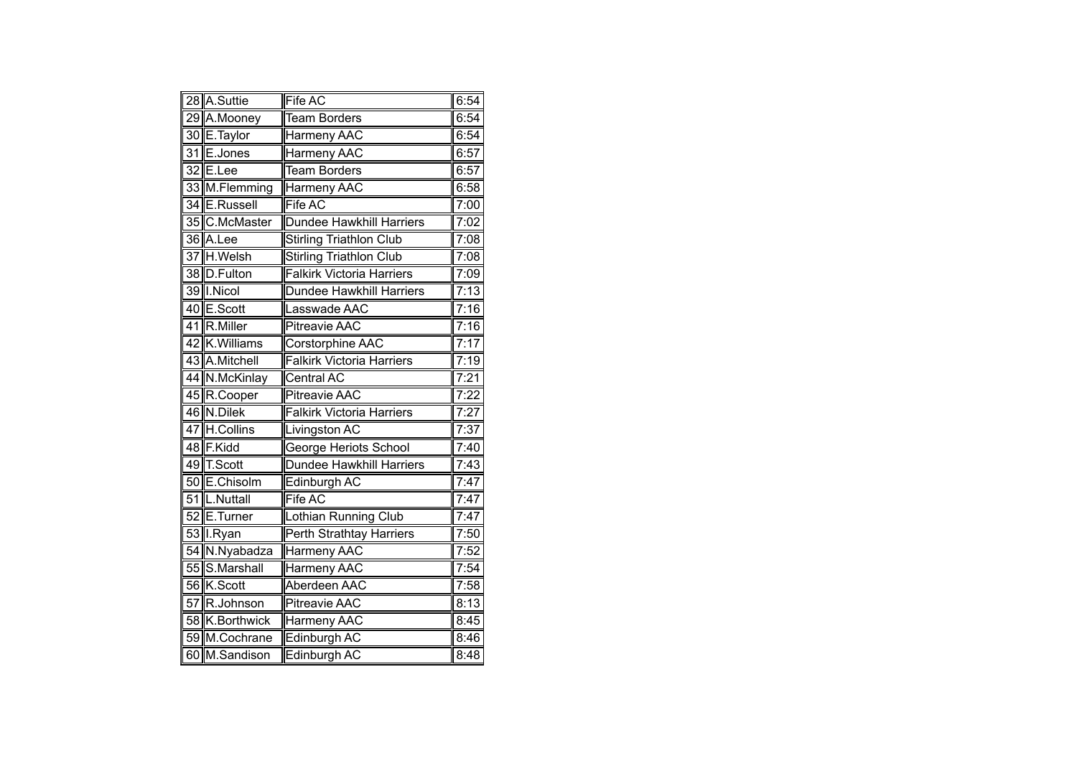|                 | 28 A.Suttie    | <b>Fife AC</b>                   | 6:54 |
|-----------------|----------------|----------------------------------|------|
|                 | 29 A.Mooney    | <b>Team Borders</b>              | 6:54 |
|                 | 30 E.Taylor    | Harmeny AAC                      | 6:54 |
| 31              | E.Jones        | <b>Harmeny AAC</b>               | 6:57 |
|                 | 32 E.Lee       | <b>Team Borders</b>              | 6:57 |
|                 | 33 M.Flemming  | Harmeny AAC                      | 6:58 |
|                 | 34 E.Russell   | <b>Fife AC</b>                   | 7:00 |
|                 | 35 C.McMaster  | Dundee Hawkhill Harriers         | 7:02 |
|                 | 36 A.Lee       | <b>Stirling Triathlon Club</b>   | 7:08 |
|                 | 37 H.Welsh     | <b>Stirling Triathlon Club</b>   | 7:08 |
|                 | 38 D.Fulton    | <b>Falkirk Victoria Harriers</b> | 7:09 |
|                 | 39 I.Nicol     | Dundee Hawkhill Harriers         | 7:13 |
|                 | 40 E.Scott     | Lasswade AAC                     | 7:16 |
| $\overline{41}$ | R.Miller       | <b>Pitreavie AAC</b>             | 7:16 |
|                 | 42 K.Williams  | Corstorphine AAC                 | 7:17 |
|                 | 43 A.Mitchell  | <b>Falkirk Victoria Harriers</b> | 7:19 |
|                 | 44 N.McKinlay  | <b>Central AC</b>                | 7:21 |
|                 | 45 R.Cooper    | <b>Pitreavie AAC</b>             | 7:22 |
|                 | 46 N.Dilek     | <b>Falkirk Victoria Harriers</b> | 7:27 |
| 47              | H.Collins      | Livingston AC                    | 7:37 |
|                 | 48 F.Kidd      | George Heriots School            | 7:40 |
|                 | 49 T.Scott     | Dundee Hawkhill Harriers         | 7:43 |
|                 | 50 E.Chisolm   | Edinburgh AC                     | 7:47 |
| $\overline{51}$ | L.Nuttall      | Fife AC                          | 7:47 |
| $\overline{52}$ | E.Turner       | Lothian Running Club             | 7:47 |
|                 | 53 I.Ryan      | Perth Strathtay Harriers         | 7:50 |
|                 | 54 N.Nyabadza  | Harmeny AAC                      | 7:52 |
|                 | 55 S.Marshall  | <b>Harmeny AAC</b>               | 7:54 |
|                 | 56 K.Scott     | Aberdeen AAC                     | 7:58 |
|                 | 57 R.Johnson   | <b>Pitreavie AAC</b>             | 8:13 |
|                 | 58 K.Borthwick | Harmeny AAC                      | 8:45 |
|                 | 59 M.Cochrane  | Edinburgh AC                     | 8:46 |
|                 | 60 M.Sandison  | Edinburgh AC                     | 8:48 |